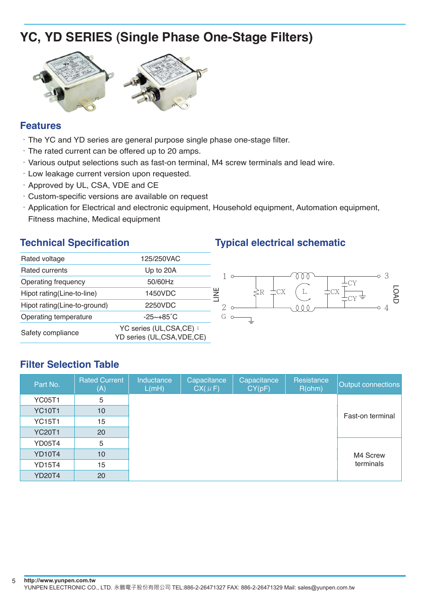# **YC, YD SERIES (Single Phase One-Stage Filters)**



#### **Features**

- $\cdot$  The YC and YD series are general purpose single phase one-stage filter.
- $\cdot$  The rated current can be offered up to 20 amps.
- .Various output selections such as fast-on terminal, M4 screw terminals and lead wire.
- .Low leakage current version upon requested.
- . Approved by UL, CSA, VDE and CE
- $\cdot$  Custom-specific versions are available on request
- .Application for Electrical and electronic equipment, Household equipment, Automation equipment, Fitness machine, Medical equipment

| Rated voltage                | 125/250VAC                                             |        |
|------------------------------|--------------------------------------------------------|--------|
| Rated currents               | Up to 20A                                              |        |
| Operating frequency          | 50/60Hz                                                |        |
| Hipot rating(Line-to-line)   | 1450VDC                                                | y<br>≧ |
| Hipot rating(Line-to-ground) | 2250VDC                                                |        |
| Operating temperature        | $-25 \sim +85^{\circ}C$                                |        |
| Safety compliance            | YC series (UL,CSA,CE) ;<br>YD series (UL,CSA, VDE, CE) |        |

## **Technical Specification Typical electrical schematic**



### **Filter Selection Table**

| Part No.      | <b>Rated Current</b><br>(A) | Inductance<br>L(mH) | Capacitance<br>$CX( \mu F)$ | Capacitance<br>CY(pF) | Resistance<br>R(ohm) | Output connections |
|---------------|-----------------------------|---------------------|-----------------------------|-----------------------|----------------------|--------------------|
| <b>YC05T1</b> | 5                           |                     |                             |                       |                      |                    |
| <b>YC10T1</b> | 10                          |                     |                             |                       |                      | Fast-on terminal   |
| <b>YC15T1</b> | 15                          |                     |                             |                       |                      |                    |
| <b>YC20T1</b> | 20                          |                     |                             |                       |                      |                    |
| <b>YD05T4</b> | 5                           |                     |                             |                       |                      |                    |
| <b>YD10T4</b> | 10                          |                     |                             |                       |                      | M4 Screw           |
| <b>YD15T4</b> | 15                          |                     |                             |                       |                      | terminals          |
| <b>YD20T4</b> | 20                          |                     |                             |                       |                      |                    |